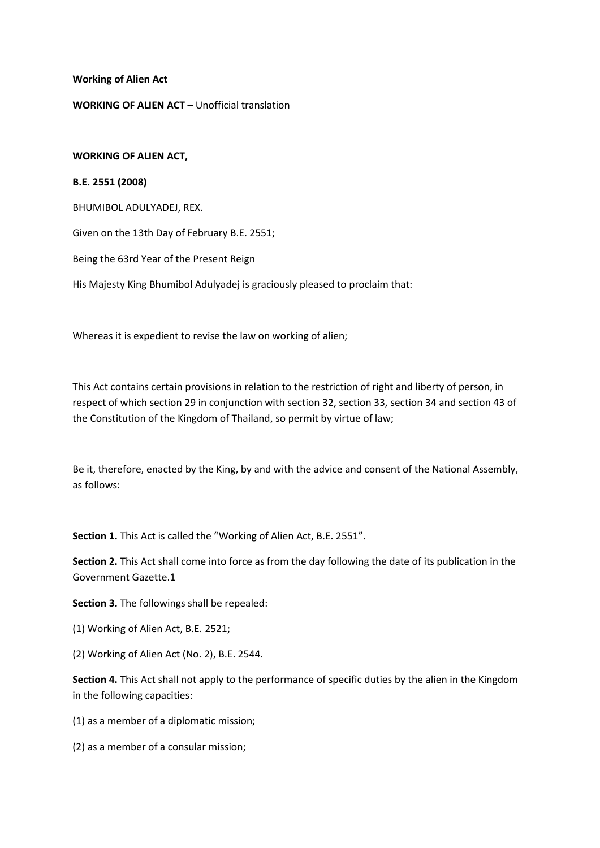**Working of Alien Act**

### **WORKING OF ALIEN ACT** – Unofficial translation

#### **WORKING OF ALIEN ACT,**

#### **B.E. 2551 (2008)**

BHUMIBOL ADULYADEJ, REX.

Given on the 13th Day of February B.E. 2551;

Being the 63rd Year of the Present Reign

His Majesty King Bhumibol Adulyadej is graciously pleased to proclaim that:

Whereas it is expedient to revise the law on working of alien;

This Act contains certain provisions in relation to the restriction of right and liberty of person, in respect of which section 29 in conjunction with section 32, section 33, section 34 and section 43 of the Constitution of the Kingdom of Thailand, so permit by virtue of law;

Be it, therefore, enacted by the King, by and with the advice and consent of the National Assembly, as follows:

**Section 1.** This Act is called the "Working of Alien Act, B.E. 2551".

**Section 2.** This Act shall come into force as from the day following the date of its publication in the Government Gazette.1

**Section 3.** The followings shall be repealed:

(1) Working of Alien Act, B.E. 2521;

(2) Working of Alien Act (No. 2), B.E. 2544.

**Section 4.** This Act shall not apply to the performance of specific duties by the alien in the Kingdom in the following capacities:

(1) as a member of a diplomatic mission;

(2) as a member of a consular mission;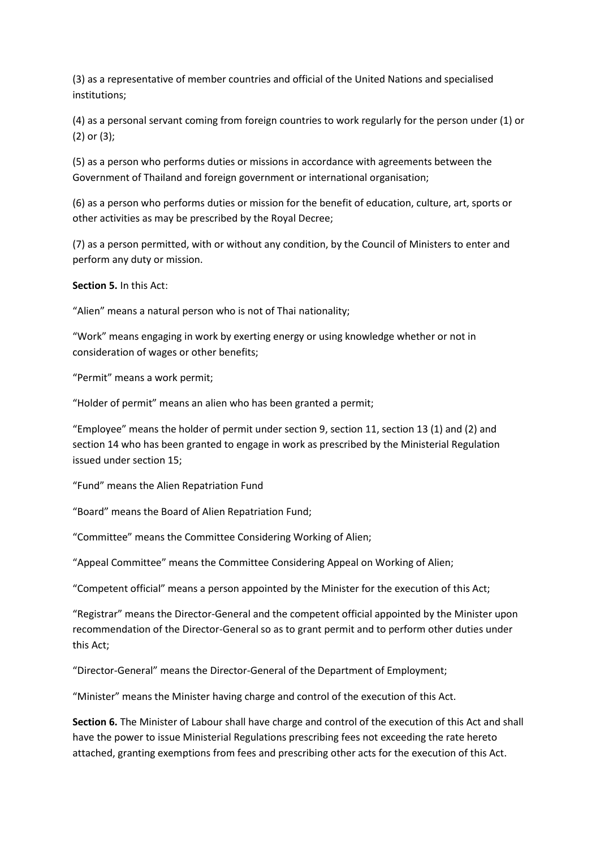(3) as a representative of member countries and official of the United Nations and specialised institutions;

(4) as a personal servant coming from foreign countries to work regularly for the person under (1) or (2) or (3);

(5) as a person who performs duties or missions in accordance with agreements between the Government of Thailand and foreign government or international organisation;

(6) as a person who performs duties or mission for the benefit of education, culture, art, sports or other activities as may be prescribed by the Royal Decree;

(7) as a person permitted, with or without any condition, by the Council of Ministers to enter and perform any duty or mission.

**Section 5.** In this Act:

"Alien" means a natural person who is not of Thai nationality;

"Work" means engaging in work by exerting energy or using knowledge whether or not in consideration of wages or other benefits;

"Permit" means a work permit;

"Holder of permit" means an alien who has been granted a permit;

"Employee" means the holder of permit under section 9, section 11, section 13 (1) and (2) and section 14 who has been granted to engage in work as prescribed by the Ministerial Regulation issued under section 15;

"Fund" means the Alien Repatriation Fund

"Board" means the Board of Alien Repatriation Fund;

"Committee" means the Committee Considering Working of Alien;

"Appeal Committee" means the Committee Considering Appeal on Working of Alien;

"Competent official" means a person appointed by the Minister for the execution of this Act;

"Registrar" means the Director-General and the competent official appointed by the Minister upon recommendation of the Director-General so as to grant permit and to perform other duties under this Act;

"Director-General" means the Director-General of the Department of Employment;

"Minister" means the Minister having charge and control of the execution of this Act.

**Section 6.** The Minister of Labour shall have charge and control of the execution of this Act and shall have the power to issue Ministerial Regulations prescribing fees not exceeding the rate hereto attached, granting exemptions from fees and prescribing other acts for the execution of this Act.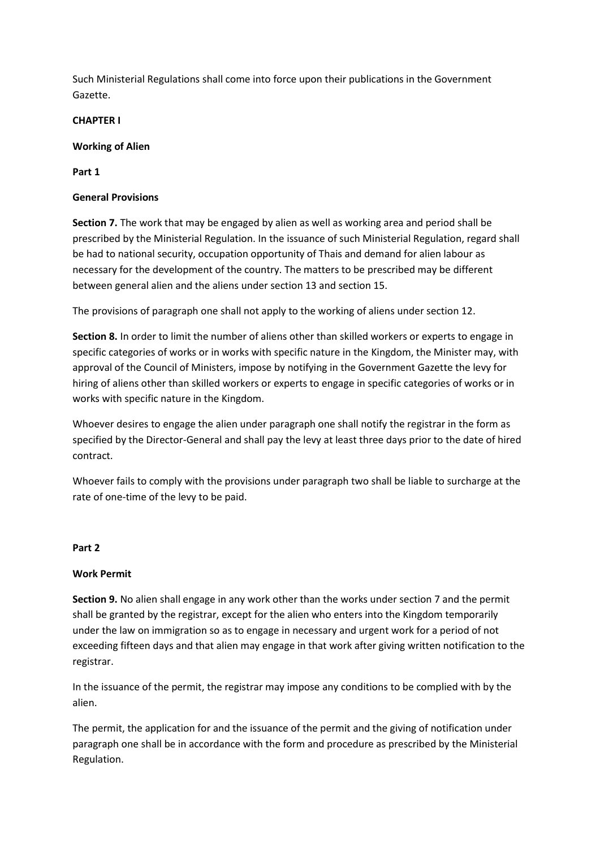Such Ministerial Regulations shall come into force upon their publications in the Government Gazette.

## **CHAPTER I**

## **Working of Alien**

**Part 1**

## **General Provisions**

**Section 7.** The work that may be engaged by alien as well as working area and period shall be prescribed by the Ministerial Regulation. In the issuance of such Ministerial Regulation, regard shall be had to national security, occupation opportunity of Thais and demand for alien labour as necessary for the development of the country. The matters to be prescribed may be different between general alien and the aliens under section 13 and section 15.

The provisions of paragraph one shall not apply to the working of aliens under section 12.

**Section 8.** In order to limit the number of aliens other than skilled workers or experts to engage in specific categories of works or in works with specific nature in the Kingdom, the Minister may, with approval of the Council of Ministers, impose by notifying in the Government Gazette the levy for hiring of aliens other than skilled workers or experts to engage in specific categories of works or in works with specific nature in the Kingdom.

Whoever desires to engage the alien under paragraph one shall notify the registrar in the form as specified by the Director-General and shall pay the levy at least three days prior to the date of hired contract.

Whoever fails to comply with the provisions under paragraph two shall be liable to surcharge at the rate of one-time of the levy to be paid.

### **Part 2**

# **Work Permit**

**Section 9.** No alien shall engage in any work other than the works under section 7 and the permit shall be granted by the registrar, except for the alien who enters into the Kingdom temporarily under the law on immigration so as to engage in necessary and urgent work for a period of not exceeding fifteen days and that alien may engage in that work after giving written notification to the registrar.

In the issuance of the permit, the registrar may impose any conditions to be complied with by the alien.

The permit, the application for and the issuance of the permit and the giving of notification under paragraph one shall be in accordance with the form and procedure as prescribed by the Ministerial Regulation.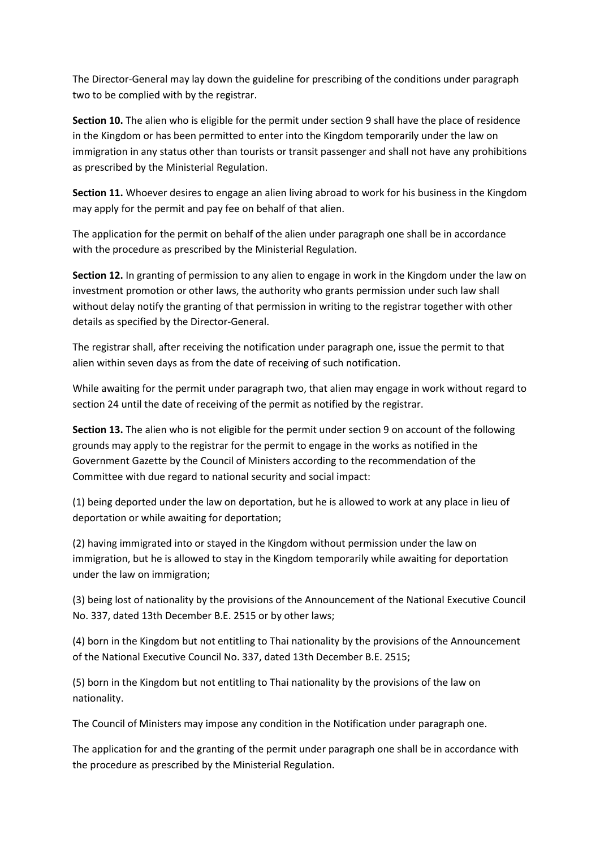The Director-General may lay down the guideline for prescribing of the conditions under paragraph two to be complied with by the registrar.

**Section 10.** The alien who is eligible for the permit under section 9 shall have the place of residence in the Kingdom or has been permitted to enter into the Kingdom temporarily under the law on immigration in any status other than tourists or transit passenger and shall not have any prohibitions as prescribed by the Ministerial Regulation.

**Section 11.** Whoever desires to engage an alien living abroad to work for his business in the Kingdom may apply for the permit and pay fee on behalf of that alien.

The application for the permit on behalf of the alien under paragraph one shall be in accordance with the procedure as prescribed by the Ministerial Regulation.

**Section 12.** In granting of permission to any alien to engage in work in the Kingdom under the law on investment promotion or other laws, the authority who grants permission under such law shall without delay notify the granting of that permission in writing to the registrar together with other details as specified by the Director-General.

The registrar shall, after receiving the notification under paragraph one, issue the permit to that alien within seven days as from the date of receiving of such notification.

While awaiting for the permit under paragraph two, that alien may engage in work without regard to section 24 until the date of receiving of the permit as notified by the registrar.

**Section 13.** The alien who is not eligible for the permit under section 9 on account of the following grounds may apply to the registrar for the permit to engage in the works as notified in the Government Gazette by the Council of Ministers according to the recommendation of the Committee with due regard to national security and social impact:

(1) being deported under the law on deportation, but he is allowed to work at any place in lieu of deportation or while awaiting for deportation;

(2) having immigrated into or stayed in the Kingdom without permission under the law on immigration, but he is allowed to stay in the Kingdom temporarily while awaiting for deportation under the law on immigration;

(3) being lost of nationality by the provisions of the Announcement of the National Executive Council No. 337, dated 13th December B.E. 2515 or by other laws;

(4) born in the Kingdom but not entitling to Thai nationality by the provisions of the Announcement of the National Executive Council No. 337, dated 13th December B.E. 2515;

(5) born in the Kingdom but not entitling to Thai nationality by the provisions of the law on nationality.

The Council of Ministers may impose any condition in the Notification under paragraph one.

The application for and the granting of the permit under paragraph one shall be in accordance with the procedure as prescribed by the Ministerial Regulation.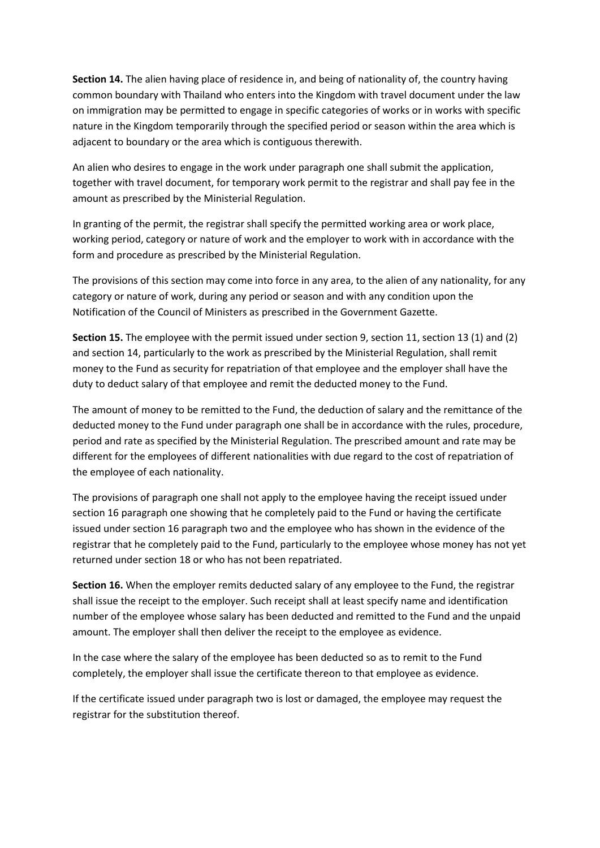**Section 14.** The alien having place of residence in, and being of nationality of, the country having common boundary with Thailand who enters into the Kingdom with travel document under the law on immigration may be permitted to engage in specific categories of works or in works with specific nature in the Kingdom temporarily through the specified period or season within the area which is adjacent to boundary or the area which is contiguous therewith.

An alien who desires to engage in the work under paragraph one shall submit the application, together with travel document, for temporary work permit to the registrar and shall pay fee in the amount as prescribed by the Ministerial Regulation.

In granting of the permit, the registrar shall specify the permitted working area or work place, working period, category or nature of work and the employer to work with in accordance with the form and procedure as prescribed by the Ministerial Regulation.

The provisions of this section may come into force in any area, to the alien of any nationality, for any category or nature of work, during any period or season and with any condition upon the Notification of the Council of Ministers as prescribed in the Government Gazette.

**Section 15.** The employee with the permit issued under section 9, section 11, section 13 (1) and (2) and section 14, particularly to the work as prescribed by the Ministerial Regulation, shall remit money to the Fund as security for repatriation of that employee and the employer shall have the duty to deduct salary of that employee and remit the deducted money to the Fund.

The amount of money to be remitted to the Fund, the deduction of salary and the remittance of the deducted money to the Fund under paragraph one shall be in accordance with the rules, procedure, period and rate as specified by the Ministerial Regulation. The prescribed amount and rate may be different for the employees of different nationalities with due regard to the cost of repatriation of the employee of each nationality.

The provisions of paragraph one shall not apply to the employee having the receipt issued under section 16 paragraph one showing that he completely paid to the Fund or having the certificate issued under section 16 paragraph two and the employee who has shown in the evidence of the registrar that he completely paid to the Fund, particularly to the employee whose money has not yet returned under section 18 or who has not been repatriated.

**Section 16.** When the employer remits deducted salary of any employee to the Fund, the registrar shall issue the receipt to the employer. Such receipt shall at least specify name and identification number of the employee whose salary has been deducted and remitted to the Fund and the unpaid amount. The employer shall then deliver the receipt to the employee as evidence.

In the case where the salary of the employee has been deducted so as to remit to the Fund completely, the employer shall issue the certificate thereon to that employee as evidence.

If the certificate issued under paragraph two is lost or damaged, the employee may request the registrar for the substitution thereof.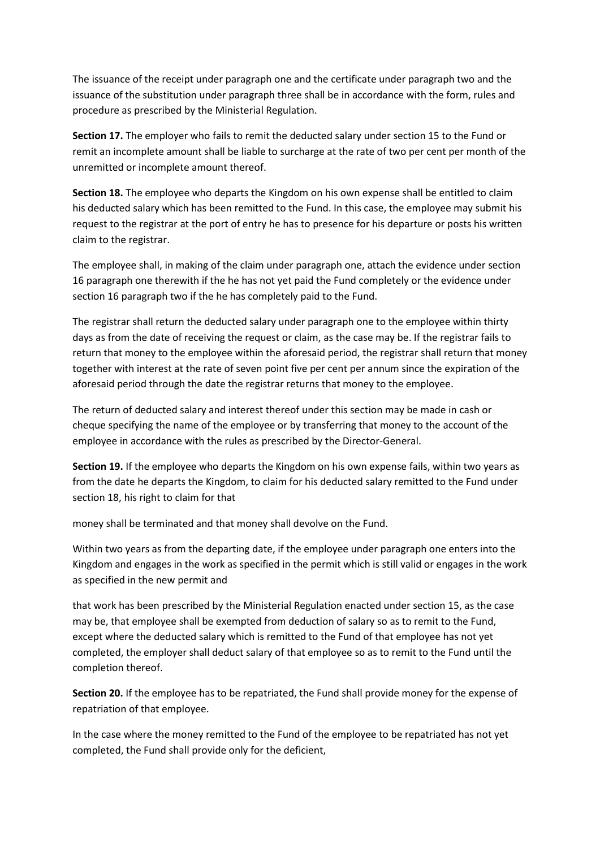The issuance of the receipt under paragraph one and the certificate under paragraph two and the issuance of the substitution under paragraph three shall be in accordance with the form, rules and procedure as prescribed by the Ministerial Regulation.

**Section 17.** The employer who fails to remit the deducted salary under section 15 to the Fund or remit an incomplete amount shall be liable to surcharge at the rate of two per cent per month of the unremitted or incomplete amount thereof.

**Section 18.** The employee who departs the Kingdom on his own expense shall be entitled to claim his deducted salary which has been remitted to the Fund. In this case, the employee may submit his request to the registrar at the port of entry he has to presence for his departure or posts his written claim to the registrar.

The employee shall, in making of the claim under paragraph one, attach the evidence under section 16 paragraph one therewith if the he has not yet paid the Fund completely or the evidence under section 16 paragraph two if the he has completely paid to the Fund.

The registrar shall return the deducted salary under paragraph one to the employee within thirty days as from the date of receiving the request or claim, as the case may be. If the registrar fails to return that money to the employee within the aforesaid period, the registrar shall return that money together with interest at the rate of seven point five per cent per annum since the expiration of the aforesaid period through the date the registrar returns that money to the employee.

The return of deducted salary and interest thereof under this section may be made in cash or cheque specifying the name of the employee or by transferring that money to the account of the employee in accordance with the rules as prescribed by the Director-General.

**Section 19.** If the employee who departs the Kingdom on his own expense fails, within two years as from the date he departs the Kingdom, to claim for his deducted salary remitted to the Fund under section 18, his right to claim for that

money shall be terminated and that money shall devolve on the Fund.

Within two years as from the departing date, if the employee under paragraph one enters into the Kingdom and engages in the work as specified in the permit which is still valid or engages in the work as specified in the new permit and

that work has been prescribed by the Ministerial Regulation enacted under section 15, as the case may be, that employee shall be exempted from deduction of salary so as to remit to the Fund, except where the deducted salary which is remitted to the Fund of that employee has not yet completed, the employer shall deduct salary of that employee so as to remit to the Fund until the completion thereof.

**Section 20.** If the employee has to be repatriated, the Fund shall provide money for the expense of repatriation of that employee.

In the case where the money remitted to the Fund of the employee to be repatriated has not yet completed, the Fund shall provide only for the deficient,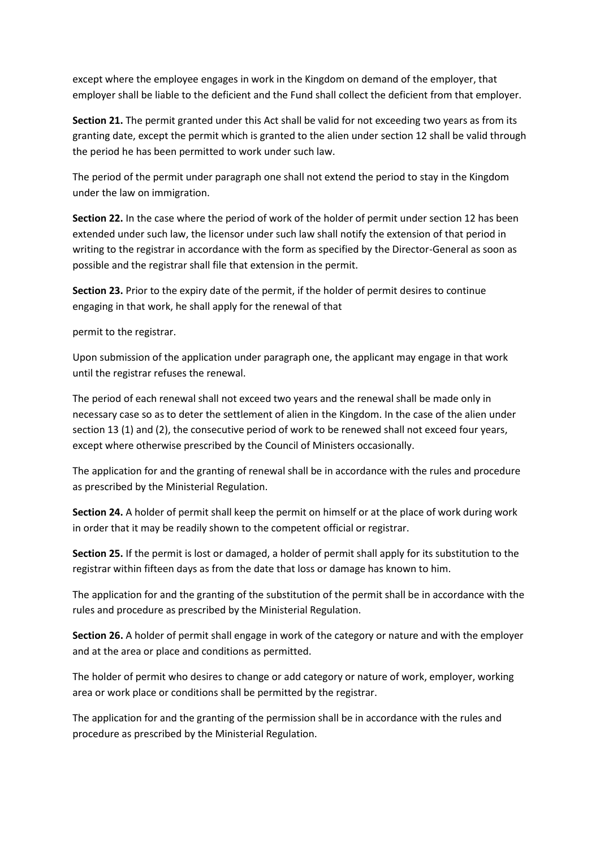except where the employee engages in work in the Kingdom on demand of the employer, that employer shall be liable to the deficient and the Fund shall collect the deficient from that employer.

**Section 21.** The permit granted under this Act shall be valid for not exceeding two years as from its granting date, except the permit which is granted to the alien under section 12 shall be valid through the period he has been permitted to work under such law.

The period of the permit under paragraph one shall not extend the period to stay in the Kingdom under the law on immigration.

**Section 22.** In the case where the period of work of the holder of permit under section 12 has been extended under such law, the licensor under such law shall notify the extension of that period in writing to the registrar in accordance with the form as specified by the Director-General as soon as possible and the registrar shall file that extension in the permit.

**Section 23.** Prior to the expiry date of the permit, if the holder of permit desires to continue engaging in that work, he shall apply for the renewal of that

permit to the registrar.

Upon submission of the application under paragraph one, the applicant may engage in that work until the registrar refuses the renewal.

The period of each renewal shall not exceed two years and the renewal shall be made only in necessary case so as to deter the settlement of alien in the Kingdom. In the case of the alien under section 13 (1) and (2), the consecutive period of work to be renewed shall not exceed four years, except where otherwise prescribed by the Council of Ministers occasionally.

The application for and the granting of renewal shall be in accordance with the rules and procedure as prescribed by the Ministerial Regulation.

**Section 24.** A holder of permit shall keep the permit on himself or at the place of work during work in order that it may be readily shown to the competent official or registrar.

**Section 25.** If the permit is lost or damaged, a holder of permit shall apply for its substitution to the registrar within fifteen days as from the date that loss or damage has known to him.

The application for and the granting of the substitution of the permit shall be in accordance with the rules and procedure as prescribed by the Ministerial Regulation.

**Section 26.** A holder of permit shall engage in work of the category or nature and with the employer and at the area or place and conditions as permitted.

The holder of permit who desires to change or add category or nature of work, employer, working area or work place or conditions shall be permitted by the registrar.

The application for and the granting of the permission shall be in accordance with the rules and procedure as prescribed by the Ministerial Regulation.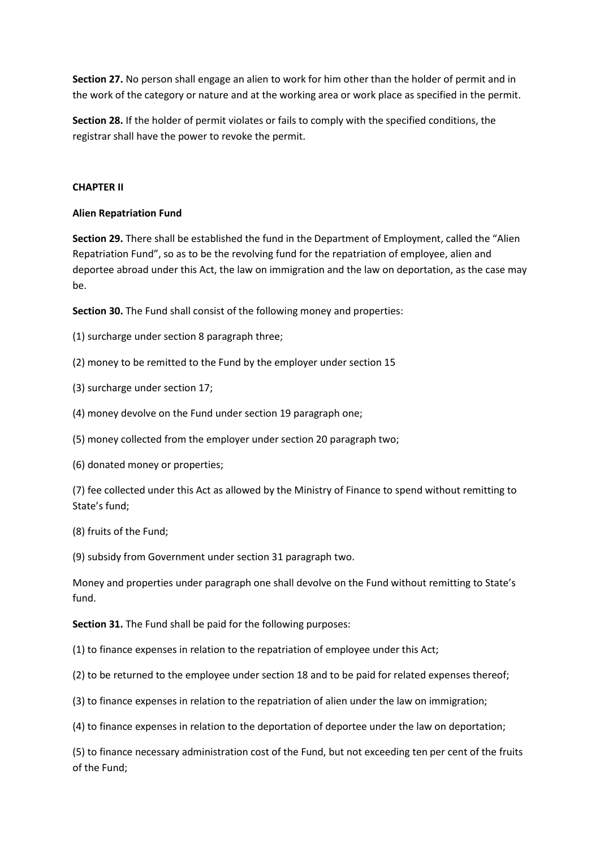**Section 27.** No person shall engage an alien to work for him other than the holder of permit and in the work of the category or nature and at the working area or work place as specified in the permit.

**Section 28.** If the holder of permit violates or fails to comply with the specified conditions, the registrar shall have the power to revoke the permit.

# **CHAPTER II**

# **Alien Repatriation Fund**

**Section 29.** There shall be established the fund in the Department of Employment, called the "Alien Repatriation Fund", so as to be the revolving fund for the repatriation of employee, alien and deportee abroad under this Act, the law on immigration and the law on deportation, as the case may be.

**Section 30.** The Fund shall consist of the following money and properties:

- (1) surcharge under section 8 paragraph three;
- (2) money to be remitted to the Fund by the employer under section 15
- (3) surcharge under section 17;
- (4) money devolve on the Fund under section 19 paragraph one;
- (5) money collected from the employer under section 20 paragraph two;
- (6) donated money or properties;

(7) fee collected under this Act as allowed by the Ministry of Finance to spend without remitting to State's fund;

(8) fruits of the Fund;

(9) subsidy from Government under section 31 paragraph two.

Money and properties under paragraph one shall devolve on the Fund without remitting to State's fund.

**Section 31.** The Fund shall be paid for the following purposes:

(1) to finance expenses in relation to the repatriation of employee under this Act;

- (2) to be returned to the employee under section 18 and to be paid for related expenses thereof;
- (3) to finance expenses in relation to the repatriation of alien under the law on immigration;
- (4) to finance expenses in relation to the deportation of deportee under the law on deportation;

(5) to finance necessary administration cost of the Fund, but not exceeding ten per cent of the fruits of the Fund;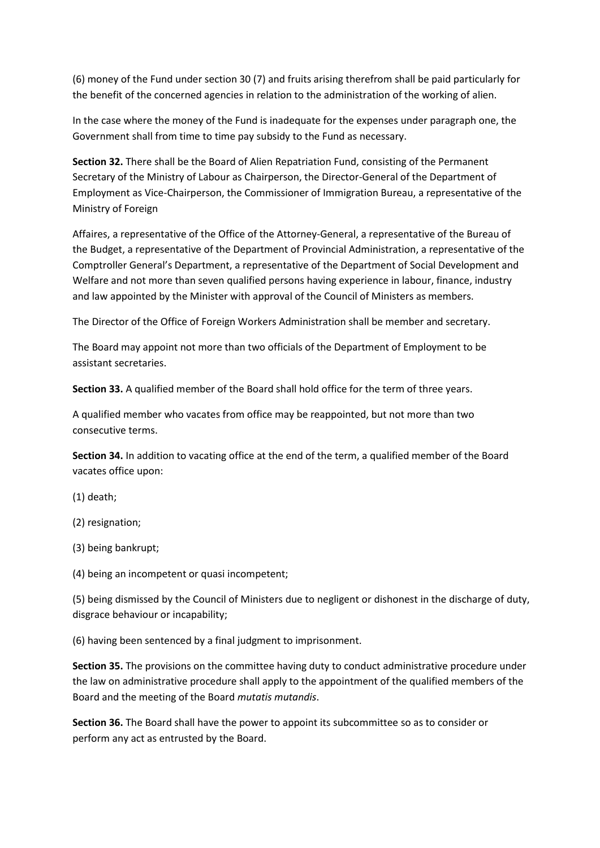(6) money of the Fund under section 30 (7) and fruits arising therefrom shall be paid particularly for the benefit of the concerned agencies in relation to the administration of the working of alien.

In the case where the money of the Fund is inadequate for the expenses under paragraph one, the Government shall from time to time pay subsidy to the Fund as necessary.

**Section 32.** There shall be the Board of Alien Repatriation Fund, consisting of the Permanent Secretary of the Ministry of Labour as Chairperson, the Director-General of the Department of Employment as Vice-Chairperson, the Commissioner of Immigration Bureau, a representative of the Ministry of Foreign

Affaires, a representative of the Office of the Attorney-General, a representative of the Bureau of the Budget, a representative of the Department of Provincial Administration, a representative of the Comptroller General's Department, a representative of the Department of Social Development and Welfare and not more than seven qualified persons having experience in labour, finance, industry and law appointed by the Minister with approval of the Council of Ministers as members.

The Director of the Office of Foreign Workers Administration shall be member and secretary.

The Board may appoint not more than two officials of the Department of Employment to be assistant secretaries.

**Section 33.** A qualified member of the Board shall hold office for the term of three years.

A qualified member who vacates from office may be reappointed, but not more than two consecutive terms.

**Section 34.** In addition to vacating office at the end of the term, a qualified member of the Board vacates office upon:

(1) death;

(2) resignation;

(3) being bankrupt;

(4) being an incompetent or quasi incompetent;

(5) being dismissed by the Council of Ministers due to negligent or dishonest in the discharge of duty, disgrace behaviour or incapability;

(6) having been sentenced by a final judgment to imprisonment.

**Section 35.** The provisions on the committee having duty to conduct administrative procedure under the law on administrative procedure shall apply to the appointment of the qualified members of the Board and the meeting of the Board *mutatis mutandis*.

**Section 36.** The Board shall have the power to appoint its subcommittee so as to consider or perform any act as entrusted by the Board.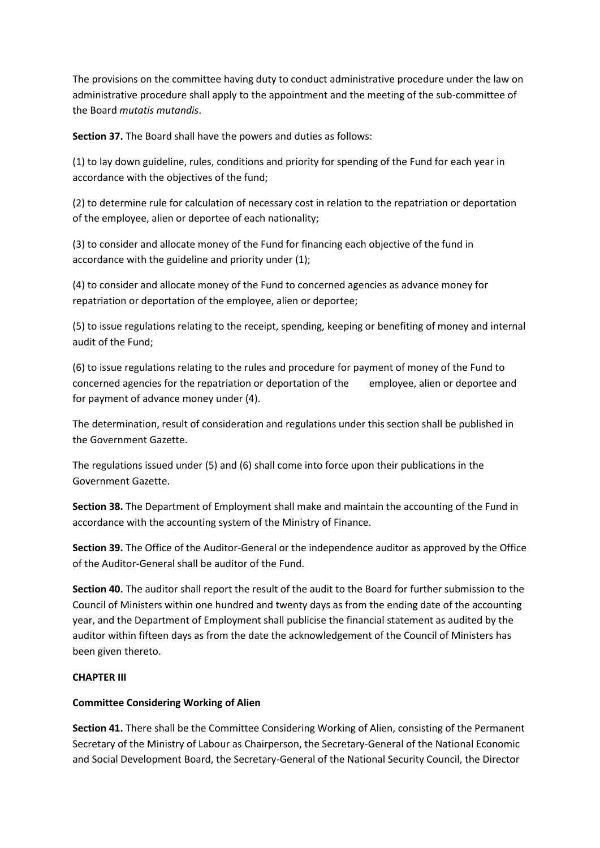The provisions on the committee having duty to conduct administrative procedure under the law on administrative procedure shall apply to the appointment and the meeting of the sub-committee of the Board *mutatis mutandis*.

**Section 37.** The Board shall have the powers and duties as follows:

(1) to lay down guideline, rules, conditions and priority for spending of the Fund for each year in accordance with the objectives of the fund;

(2) to determine rule for calculation of necessary cost in relation to the repatriation or deportation of the employee, alien or deportee of each nationality;

(3) to consider and allocate money of the Fund for financing each objective of the fund in accordance with the guideline and priority under (1);

(4) to consider and allocate money of the Fund to concerned agencies as advance money for repatriation or deportation of the employee, alien or deportee;

(5) to issue regulations relating to the receipt, spending, keeping or benefiting of money and internal audit of the Fund;

(6) to issue regulations relating to the rules and procedure for payment of money of the Fund to concerned agencies for the repatriation or deportation of the employee, alien or deportee and for payment of advance money under (4).

The determination, result of consideration and regulations under this section shall be published in the Government Gazette.

The regulations issued under (5) and (6) shall come into force upon their publications in the Government Gazette.

**Section 38.** The Department of Employment shall make and maintain the accounting of the Fund in accordance with the accounting system of the Ministry of Finance.

**Section 39.** The Office of the Auditor-General or the independence auditor as approved by the Office of the Auditor-General shall be auditor of the Fund.

**Section 40.** The auditor shall report the result of the audit to the Board for further submission to the Council of Ministers within one hundred and twenty days as from the ending date of the accounting year, and the Department of Employment shall publicise the financial statement as audited by the auditor within fifteen days as from the date the acknowledgement of the Council of Ministers has been given thereto.

# **CHAPTER III**

# **Committee Considering Working of Alien**

**Section 41.** There shall be the Committee Considering Working of Alien, consisting of the Permanent Secretary of the Ministry of Labour as Chairperson, the Secretary-General of the National Economic and Social Development Board, the Secretary-General of the National Security Council, the Director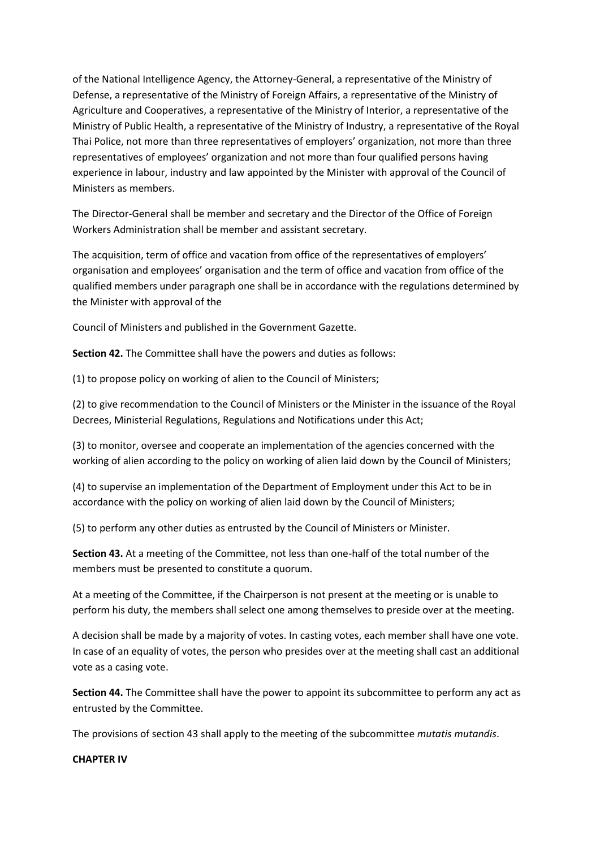of the National Intelligence Agency, the Attorney-General, a representative of the Ministry of Defense, a representative of the Ministry of Foreign Affairs, a representative of the Ministry of Agriculture and Cooperatives, a representative of the Ministry of Interior, a representative of the Ministry of Public Health, a representative of the Ministry of Industry, a representative of the Royal Thai Police, not more than three representatives of employers' organization, not more than three representatives of employees' organization and not more than four qualified persons having experience in labour, industry and law appointed by the Minister with approval of the Council of Ministers as members.

The Director-General shall be member and secretary and the Director of the Office of Foreign Workers Administration shall be member and assistant secretary.

The acquisition, term of office and vacation from office of the representatives of employers' organisation and employees' organisation and the term of office and vacation from office of the qualified members under paragraph one shall be in accordance with the regulations determined by the Minister with approval of the

Council of Ministers and published in the Government Gazette.

**Section 42.** The Committee shall have the powers and duties as follows:

(1) to propose policy on working of alien to the Council of Ministers;

(2) to give recommendation to the Council of Ministers or the Minister in the issuance of the Royal Decrees, Ministerial Regulations, Regulations and Notifications under this Act;

(3) to monitor, oversee and cooperate an implementation of the agencies concerned with the working of alien according to the policy on working of alien laid down by the Council of Ministers;

(4) to supervise an implementation of the Department of Employment under this Act to be in accordance with the policy on working of alien laid down by the Council of Ministers;

(5) to perform any other duties as entrusted by the Council of Ministers or Minister.

**Section 43.** At a meeting of the Committee, not less than one-half of the total number of the members must be presented to constitute a quorum.

At a meeting of the Committee, if the Chairperson is not present at the meeting or is unable to perform his duty, the members shall select one among themselves to preside over at the meeting.

A decision shall be made by a majority of votes. In casting votes, each member shall have one vote. In case of an equality of votes, the person who presides over at the meeting shall cast an additional vote as a casing vote.

**Section 44.** The Committee shall have the power to appoint its subcommittee to perform any act as entrusted by the Committee.

The provisions of section 43 shall apply to the meeting of the subcommittee *mutatis mutandis*.

### **CHAPTER IV**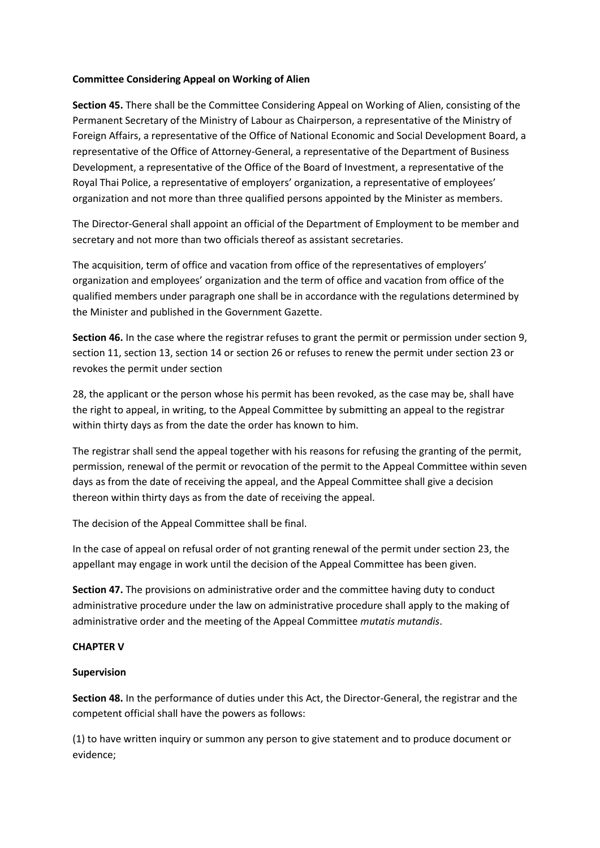### **Committee Considering Appeal on Working of Alien**

**Section 45.** There shall be the Committee Considering Appeal on Working of Alien, consisting of the Permanent Secretary of the Ministry of Labour as Chairperson, a representative of the Ministry of Foreign Affairs, a representative of the Office of National Economic and Social Development Board, a representative of the Office of Attorney-General, a representative of the Department of Business Development, a representative of the Office of the Board of Investment, a representative of the Royal Thai Police, a representative of employers' organization, a representative of employees' organization and not more than three qualified persons appointed by the Minister as members.

The Director-General shall appoint an official of the Department of Employment to be member and secretary and not more than two officials thereof as assistant secretaries.

The acquisition, term of office and vacation from office of the representatives of employers' organization and employees' organization and the term of office and vacation from office of the qualified members under paragraph one shall be in accordance with the regulations determined by the Minister and published in the Government Gazette.

**Section 46.** In the case where the registrar refuses to grant the permit or permission under section 9, section 11, section 13, section 14 or section 26 or refuses to renew the permit under section 23 or revokes the permit under section

28, the applicant or the person whose his permit has been revoked, as the case may be, shall have the right to appeal, in writing, to the Appeal Committee by submitting an appeal to the registrar within thirty days as from the date the order has known to him.

The registrar shall send the appeal together with his reasons for refusing the granting of the permit, permission, renewal of the permit or revocation of the permit to the Appeal Committee within seven days as from the date of receiving the appeal, and the Appeal Committee shall give a decision thereon within thirty days as from the date of receiving the appeal.

The decision of the Appeal Committee shall be final.

In the case of appeal on refusal order of not granting renewal of the permit under section 23, the appellant may engage in work until the decision of the Appeal Committee has been given.

**Section 47.** The provisions on administrative order and the committee having duty to conduct administrative procedure under the law on administrative procedure shall apply to the making of administrative order and the meeting of the Appeal Committee *mutatis mutandis*.

# **CHAPTER V**

# **Supervision**

**Section 48.** In the performance of duties under this Act, the Director-General, the registrar and the competent official shall have the powers as follows:

(1) to have written inquiry or summon any person to give statement and to produce document or evidence;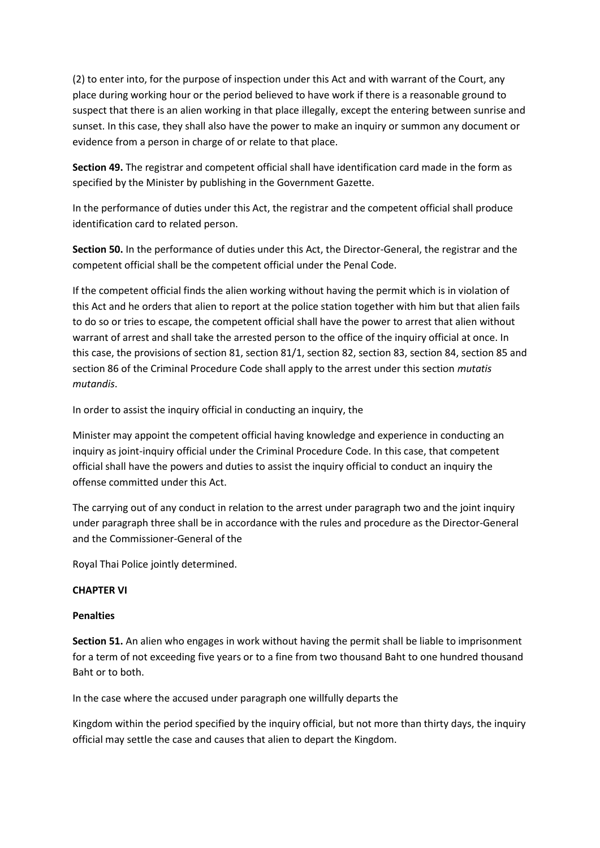(2) to enter into, for the purpose of inspection under this Act and with warrant of the Court, any place during working hour or the period believed to have work if there is a reasonable ground to suspect that there is an alien working in that place illegally, except the entering between sunrise and sunset. In this case, they shall also have the power to make an inquiry or summon any document or evidence from a person in charge of or relate to that place.

**Section 49.** The registrar and competent official shall have identification card made in the form as specified by the Minister by publishing in the Government Gazette.

In the performance of duties under this Act, the registrar and the competent official shall produce identification card to related person.

**Section 50.** In the performance of duties under this Act, the Director-General, the registrar and the competent official shall be the competent official under the Penal Code.

If the competent official finds the alien working without having the permit which is in violation of this Act and he orders that alien to report at the police station together with him but that alien fails to do so or tries to escape, the competent official shall have the power to arrest that alien without warrant of arrest and shall take the arrested person to the office of the inquiry official at once. In this case, the provisions of section 81, section 81/1, section 82, section 83, section 84, section 85 and section 86 of the Criminal Procedure Code shall apply to the arrest under this section *mutatis mutandis*.

In order to assist the inquiry official in conducting an inquiry, the

Minister may appoint the competent official having knowledge and experience in conducting an inquiry as joint-inquiry official under the Criminal Procedure Code. In this case, that competent official shall have the powers and duties to assist the inquiry official to conduct an inquiry the offense committed under this Act.

The carrying out of any conduct in relation to the arrest under paragraph two and the joint inquiry under paragraph three shall be in accordance with the rules and procedure as the Director-General and the Commissioner-General of the

Royal Thai Police jointly determined.

### **CHAPTER VI**

### **Penalties**

**Section 51.** An alien who engages in work without having the permit shall be liable to imprisonment for a term of not exceeding five years or to a fine from two thousand Baht to one hundred thousand Baht or to both.

In the case where the accused under paragraph one willfully departs the

Kingdom within the period specified by the inquiry official, but not more than thirty days, the inquiry official may settle the case and causes that alien to depart the Kingdom.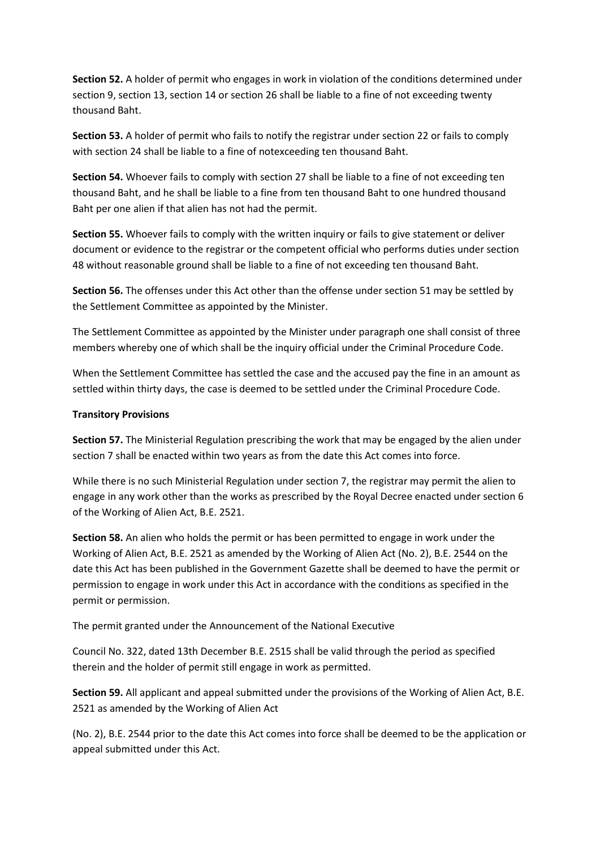**Section 52.** A holder of permit who engages in work in violation of the conditions determined under section 9, section 13, section 14 or section 26 shall be liable to a fine of not exceeding twenty thousand Baht.

**Section 53.** A holder of permit who fails to notify the registrar under section 22 or fails to comply with section 24 shall be liable to a fine of notexceeding ten thousand Baht.

**Section 54.** Whoever fails to comply with section 27 shall be liable to a fine of not exceeding ten thousand Baht, and he shall be liable to a fine from ten thousand Baht to one hundred thousand Baht per one alien if that alien has not had the permit.

**Section 55.** Whoever fails to comply with the written inquiry or fails to give statement or deliver document or evidence to the registrar or the competent official who performs duties under section 48 without reasonable ground shall be liable to a fine of not exceeding ten thousand Baht.

**Section 56.** The offenses under this Act other than the offense under section 51 may be settled by the Settlement Committee as appointed by the Minister.

The Settlement Committee as appointed by the Minister under paragraph one shall consist of three members whereby one of which shall be the inquiry official under the Criminal Procedure Code.

When the Settlement Committee has settled the case and the accused pay the fine in an amount as settled within thirty days, the case is deemed to be settled under the Criminal Procedure Code.

### **Transitory Provisions**

**Section 57.** The Ministerial Regulation prescribing the work that may be engaged by the alien under section 7 shall be enacted within two years as from the date this Act comes into force.

While there is no such Ministerial Regulation under section 7, the registrar may permit the alien to engage in any work other than the works as prescribed by the Royal Decree enacted under section 6 of the Working of Alien Act, B.E. 2521.

**Section 58.** An alien who holds the permit or has been permitted to engage in work under the Working of Alien Act, B.E. 2521 as amended by the Working of Alien Act (No. 2), B.E. 2544 on the date this Act has been published in the Government Gazette shall be deemed to have the permit or permission to engage in work under this Act in accordance with the conditions as specified in the permit or permission.

The permit granted under the Announcement of the National Executive

Council No. 322, dated 13th December B.E. 2515 shall be valid through the period as specified therein and the holder of permit still engage in work as permitted.

**Section 59.** All applicant and appeal submitted under the provisions of the Working of Alien Act, B.E. 2521 as amended by the Working of Alien Act

(No. 2), B.E. 2544 prior to the date this Act comes into force shall be deemed to be the application or appeal submitted under this Act.